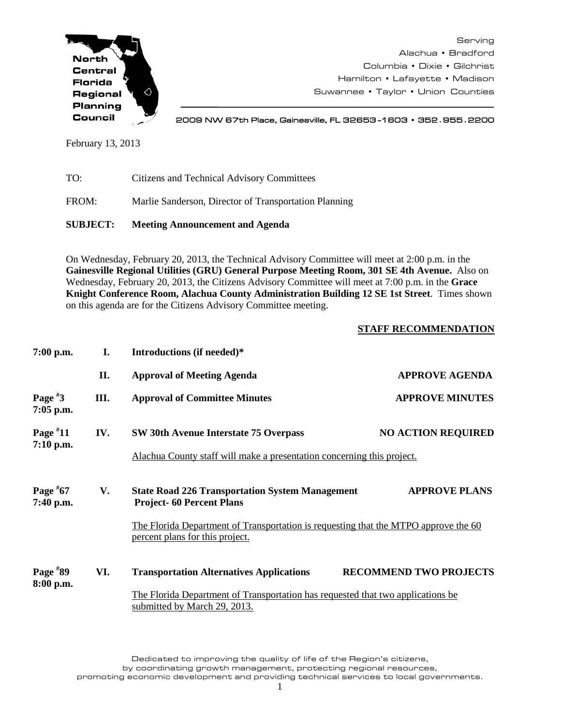

Serving Alachua • Bradford Columbia • Dixie • Gilchrist Hamilton • Lafayette • Madison Suwannee • Taylor • Union Counties

2009 NW 67th Place, Gainesville, FL 32653 -1603 • 352**.**955**.**2200

February 13, 2013

| <b>SUBJECT:</b> | <b>Meeting Announcement and Agenda</b>                |
|-----------------|-------------------------------------------------------|
| FROM:           | Marlie Sanderson, Director of Transportation Planning |
| TO:             | Citizens and Technical Advisory Committees            |

On Wednesday, February 20, 2013, the Technical Advisory Committee will meet at 2:00 p.m. in the **Gainesville Regional Utilities (GRU) General Purpose Meeting Room, 301 SE 4th Avenue.** Also on Wednesday, February 20, 2013, the Citizens Advisory Committee will meet at 7:00 p.m. in the **Grace Knight Conference Room, Alachua County Administration Building 12 SE 1st Street**. Times shown on this agenda are for the Citizens Advisory Committee meeting.

## **STAFF RECOMMENDATION**

| $7:00$ p.m.             | I.  | Introductions (if needed)*                                                                                             |                               |  |  |  |
|-------------------------|-----|------------------------------------------------------------------------------------------------------------------------|-------------------------------|--|--|--|
|                         | II. | <b>Approval of Meeting Agenda</b>                                                                                      | <b>APPROVE AGENDA</b>         |  |  |  |
| Page $*3$<br>7:05 p.m.  | Ш.  | <b>Approval of Committee Minutes</b>                                                                                   | <b>APPROVE MINUTES</b>        |  |  |  |
| Page $*11$              | IV. | SW 30th Avenue Interstate 75 Overpass                                                                                  | <b>NO ACTION REQUIRED</b>     |  |  |  |
| 7:10 p.m.               |     | Alachua County staff will make a presentation concerning this project.                                                 |                               |  |  |  |
| Page $*67$<br>7:40 p.m. | V.  | <b>State Road 226 Transportation System Management</b><br><b>Project-60 Percent Plans</b>                              | <b>APPROVE PLANS</b>          |  |  |  |
|                         |     | The Florida Department of Transportation is requesting that the MTPO approve the 60<br>percent plans for this project. |                               |  |  |  |
| Page $*89$              | VI. | <b>Transportation Alternatives Applications</b>                                                                        | <b>RECOMMEND TWO PROJECTS</b> |  |  |  |
| 8:00 p.m.               |     | The Florida Department of Transportation has requested that two applications be<br>submitted by March 29, 2013.        |                               |  |  |  |